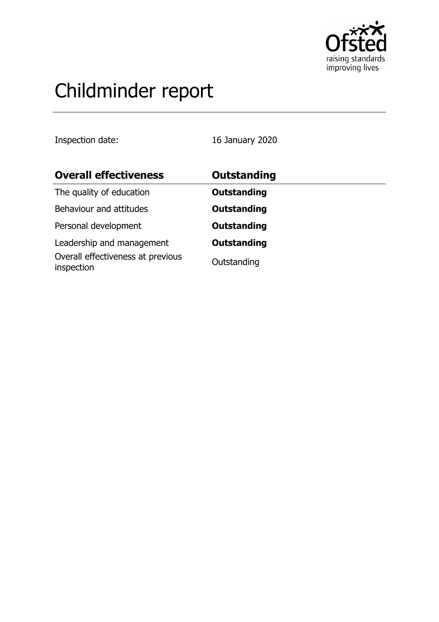

# Childminder report

Inspection date: 16 January 2020

| <b>Overall effectiveness</b>                    | Outstanding        |
|-------------------------------------------------|--------------------|
| The quality of education                        | <b>Outstanding</b> |
| Behaviour and attitudes                         | <b>Outstanding</b> |
| Personal development                            | <b>Outstanding</b> |
| Leadership and management                       | <b>Outstanding</b> |
| Overall effectiveness at previous<br>inspection | Outstanding        |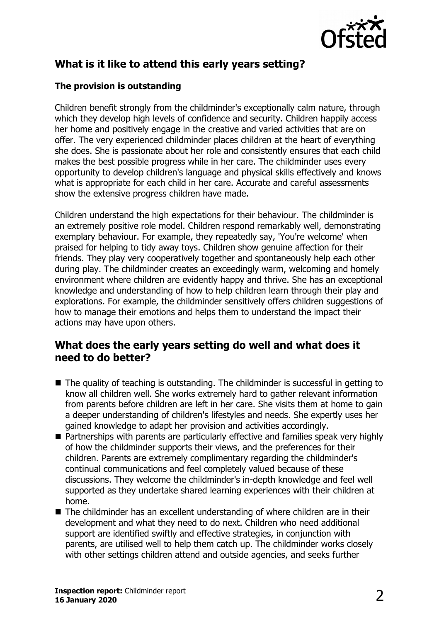

# **What is it like to attend this early years setting?**

### **The provision is outstanding**

Children benefit strongly from the childminder's exceptionally calm nature, through which they develop high levels of confidence and security. Children happily access her home and positively engage in the creative and varied activities that are on offer. The very experienced childminder places children at the heart of everything she does. She is passionate about her role and consistently ensures that each child makes the best possible progress while in her care. The childminder uses every opportunity to develop children's language and physical skills effectively and knows what is appropriate for each child in her care. Accurate and careful assessments show the extensive progress children have made.

Children understand the high expectations for their behaviour. The childminder is an extremely positive role model. Children respond remarkably well, demonstrating exemplary behaviour. For example, they repeatedly say, 'You're welcome' when praised for helping to tidy away toys. Children show genuine affection for their friends. They play very cooperatively together and spontaneously help each other during play. The childminder creates an exceedingly warm, welcoming and homely environment where children are evidently happy and thrive. She has an exceptional knowledge and understanding of how to help children learn through their play and explorations. For example, the childminder sensitively offers children suggestions of how to manage their emotions and helps them to understand the impact their actions may have upon others.

## **What does the early years setting do well and what does it need to do better?**

- $\blacksquare$  The quality of teaching is outstanding. The childminder is successful in getting to know all children well. She works extremely hard to gather relevant information from parents before children are left in her care. She visits them at home to gain a deeper understanding of children's lifestyles and needs. She expertly uses her gained knowledge to adapt her provision and activities accordingly.
- $\blacksquare$  Partnerships with parents are particularly effective and families speak very highly of how the childminder supports their views, and the preferences for their children. Parents are extremely complimentary regarding the childminder's continual communications and feel completely valued because of these discussions. They welcome the childminder's in-depth knowledge and feel well supported as they undertake shared learning experiences with their children at home.
- $\blacksquare$  The childminder has an excellent understanding of where children are in their development and what they need to do next. Children who need additional support are identified swiftly and effective strategies, in conjunction with parents, are utilised well to help them catch up. The childminder works closely with other settings children attend and outside agencies, and seeks further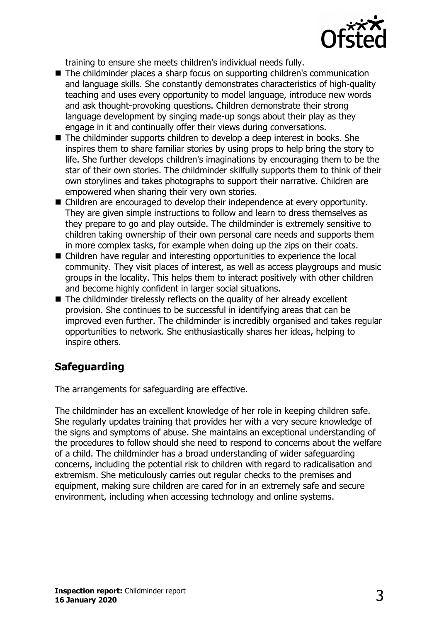

training to ensure she meets children's individual needs fully.

- The childminder places a sharp focus on supporting children's communication and language skills. She constantly demonstrates characteristics of high-quality teaching and uses every opportunity to model language, introduce new words and ask thought-provoking questions. Children demonstrate their strong language development by singing made-up songs about their play as they engage in it and continually offer their views during conversations.
- The childminder supports children to develop a deep interest in books. She inspires them to share familiar stories by using props to help bring the story to life. She further develops children's imaginations by encouraging them to be the star of their own stories. The childminder skilfully supports them to think of their own storylines and takes photographs to support their narrative. Children are empowered when sharing their very own stories.
- Children are encouraged to develop their independence at every opportunity. They are given simple instructions to follow and learn to dress themselves as they prepare to go and play outside. The childminder is extremely sensitive to children taking ownership of their own personal care needs and supports them in more complex tasks, for example when doing up the zips on their coats.
- $\blacksquare$  Children have regular and interesting opportunities to experience the local community. They visit places of interest, as well as access playgroups and music groups in the locality. This helps them to interact positively with other children and become highly confident in larger social situations.
- $\blacksquare$  The childminder tirelessly reflects on the quality of her already excellent provision. She continues to be successful in identifying areas that can be improved even further. The childminder is incredibly organised and takes regular opportunities to network. She enthusiastically shares her ideas, helping to inspire others.

# **Safeguarding**

The arrangements for safeguarding are effective.

The childminder has an excellent knowledge of her role in keeping children safe. She regularly updates training that provides her with a very secure knowledge of the signs and symptoms of abuse. She maintains an exceptional understanding of the procedures to follow should she need to respond to concerns about the welfare of a child. The childminder has a broad understanding of wider safeguarding concerns, including the potential risk to children with regard to radicalisation and extremism. She meticulously carries out regular checks to the premises and equipment, making sure children are cared for in an extremely safe and secure environment, including when accessing technology and online systems.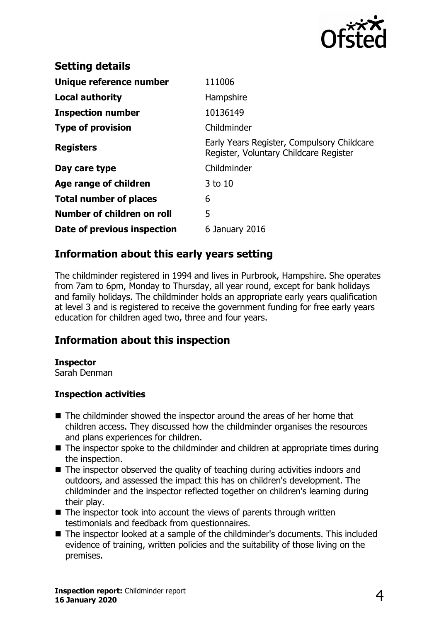

| <b>Setting details</b>        |                                                                                      |
|-------------------------------|--------------------------------------------------------------------------------------|
| Unique reference number       | 111006                                                                               |
| Local authority               | Hampshire                                                                            |
| <b>Inspection number</b>      | 10136149                                                                             |
| <b>Type of provision</b>      | Childminder                                                                          |
| <b>Registers</b>              | Early Years Register, Compulsory Childcare<br>Register, Voluntary Childcare Register |
| Day care type                 | Childminder                                                                          |
| Age range of children         | 3 to 10                                                                              |
| <b>Total number of places</b> | 6                                                                                    |
| Number of children on roll    | 5                                                                                    |
| Date of previous inspection   | 6 January 2016                                                                       |

# **Information about this early years setting**

The childminder registered in 1994 and lives in Purbrook, Hampshire. She operates from 7am to 6pm, Monday to Thursday, all year round, except for bank holidays and family holidays. The childminder holds an appropriate early years qualification at level 3 and is registered to receive the government funding for free early years education for children aged two, three and four years.

## **Information about this inspection**

#### **Inspector**

Sarah Denman

#### **Inspection activities**

- $\blacksquare$  The childminder showed the inspector around the areas of her home that children access. They discussed how the childminder organises the resources and plans experiences for children.
- $\blacksquare$  The inspector spoke to the childminder and children at appropriate times during the inspection.
- $\blacksquare$  The inspector observed the quality of teaching during activities indoors and outdoors, and assessed the impact this has on children's development. The childminder and the inspector reflected together on children's learning during their play.
- $\blacksquare$  The inspector took into account the views of parents through written testimonials and feedback from questionnaires.
- $\blacksquare$  The inspector looked at a sample of the childminder's documents. This included evidence of training, written policies and the suitability of those living on the premises.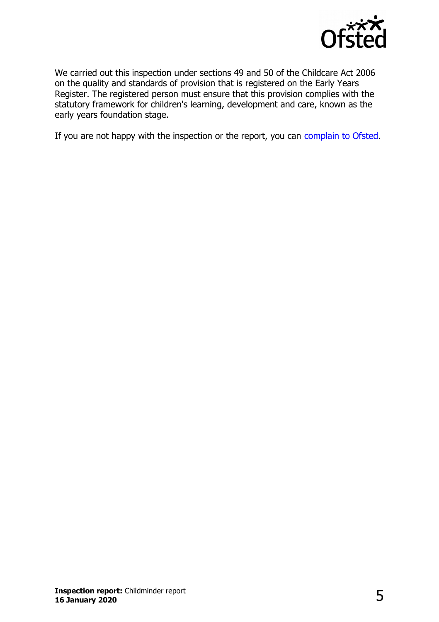

We carried out this inspection under sections 49 and 50 of the Childcare Act 2006 on the quality and standards of provision that is registered on the Early Years Register. The registered person must ensure that this provision complies with the statutory framework for children's learning, development and care, known as the early years foundation stage.

If you are not happy with the inspection or the report, you can [complain to Ofsted.](http://www.gov.uk/complain-ofsted-report)